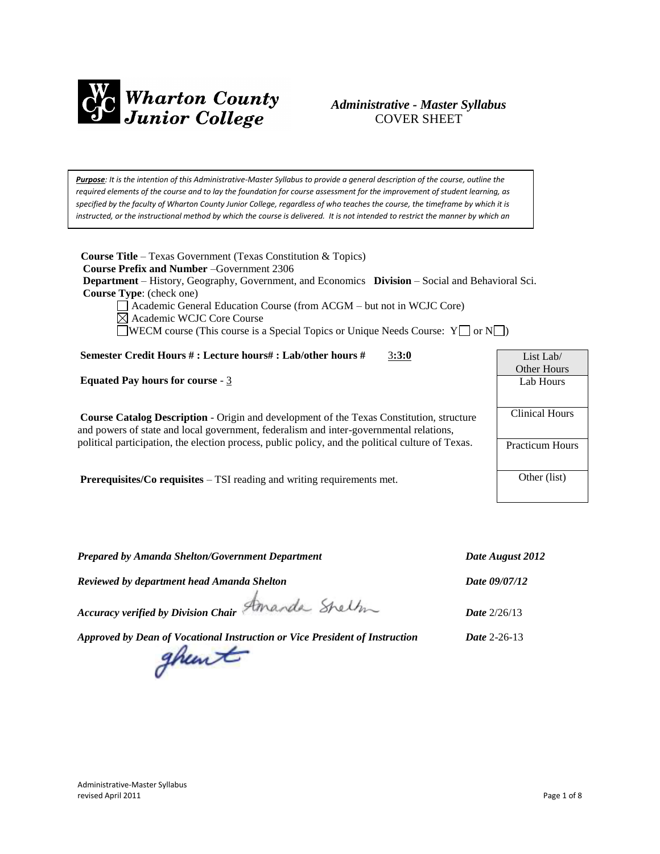

## *Administrative - Master Syllabus*  COVER SHEET

*Purpose: It is the intention of this Administrative-Master Syllabus to provide a general description of the course, outline the required elements of the course and to lay the foundation for course assessment for the improvement of student learning, as specified by the faculty of Wharton County Junior College, regardless of who teaches the course, the timeframe by which it is* instructed, or the instructional method by which the course is delivered. It is not intended to restrict the manner by which an

*individual faculty member teaches the course but to be an administrative tool to aid in the improvement of instruction.*

**Course Title** – Texas Government (Texas Constitution & Topics)  **Course Prefix and Number** –Government 2306  **Department** – History, Geography, Government, and Economics **Division** – Social and Behavioral Sci.  **Course Type**: (check one)

Academic General Education Course (from ACGM – but not in WCJC Core)

Academic WCJC Core Course

 $\Box$ WECM course (This course is a Special Topics or Unique Needs Course: Y $\Box$  or N $\Box$ )

#### **Semester Credit Hours # : Lecture hours# : Lab/other hours #** 3**:3:0**

**Equated Pay hours for course** - 3

**Course Catalog Description** - Origin and development of the Texas Constitution, structure and powers of state and local government, federalism and inter-governmental relations, political participation, the election process, public policy, and the political culture of Texas.

**Prerequisites/Co requisites** – TSI reading and writing requirements met.

| List Lab/              |
|------------------------|
| Other Hours            |
| Lab Hours              |
|                        |
| Clinical Hours         |
|                        |
| <b>Practicum Hours</b> |
|                        |
| Other (list)           |
|                        |

*Prepared by Amanda Shelton/Government Department Date August 2012*

*Reviewed by department head Amanda Shelton Date 09/07/12*

*Accuracy verified by Division Chair Date* 2/26/13

*Approved by Dean of Vocational Instruction or Vice President of Instruction Date* 2-26-13

ghewt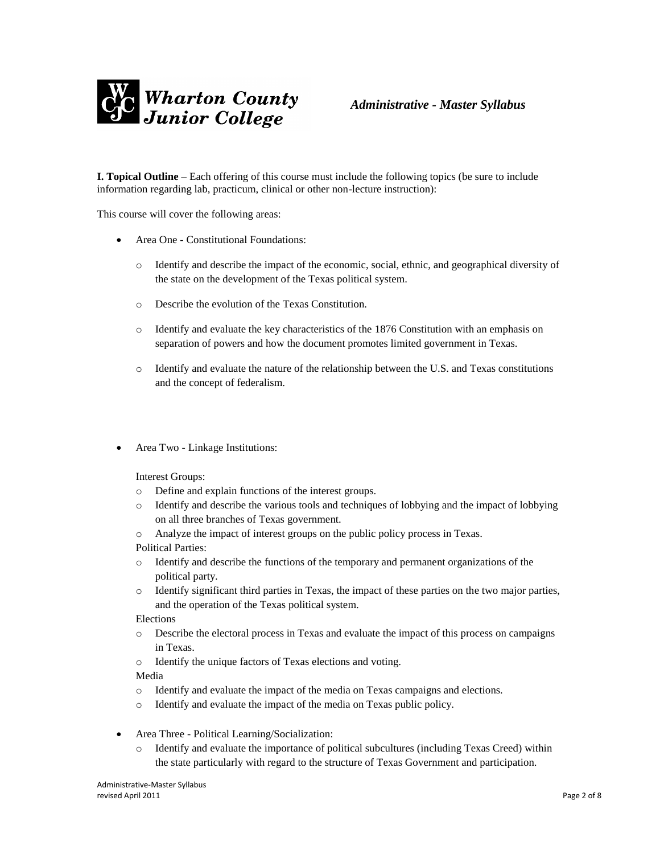

**I. Topical Outline** – Each offering of this course must include the following topics (be sure to include information regarding lab, practicum, clinical or other non-lecture instruction):

This course will cover the following areas:

- Area One Constitutional Foundations:
	- o Identify and describe the impact of the economic, social, ethnic, and geographical diversity of the state on the development of the Texas political system.
	- o Describe the evolution of the Texas Constitution.
	- o Identify and evaluate the key characteristics of the 1876 Constitution with an emphasis on separation of powers and how the document promotes limited government in Texas.
	- o Identify and evaluate the nature of the relationship between the U.S. and Texas constitutions and the concept of federalism.
- Area Two Linkage Institutions:

Interest Groups:

- o Define and explain functions of the interest groups.
- o Identify and describe the various tools and techniques of lobbying and the impact of lobbying on all three branches of Texas government.
- o Analyze the impact of interest groups on the public policy process in Texas.

Political Parties:

- o Identify and describe the functions of the temporary and permanent organizations of the political party.
- o Identify significant third parties in Texas, the impact of these parties on the two major parties, and the operation of the Texas political system.

Elections

- o Describe the electoral process in Texas and evaluate the impact of this process on campaigns in Texas.
- o Identify the unique factors of Texas elections and voting.

Media

- o Identify and evaluate the impact of the media on Texas campaigns and elections.
- o Identify and evaluate the impact of the media on Texas public policy.
- Area Three Political Learning/Socialization:
	- o Identify and evaluate the importance of political subcultures (including Texas Creed) within the state particularly with regard to the structure of Texas Government and participation.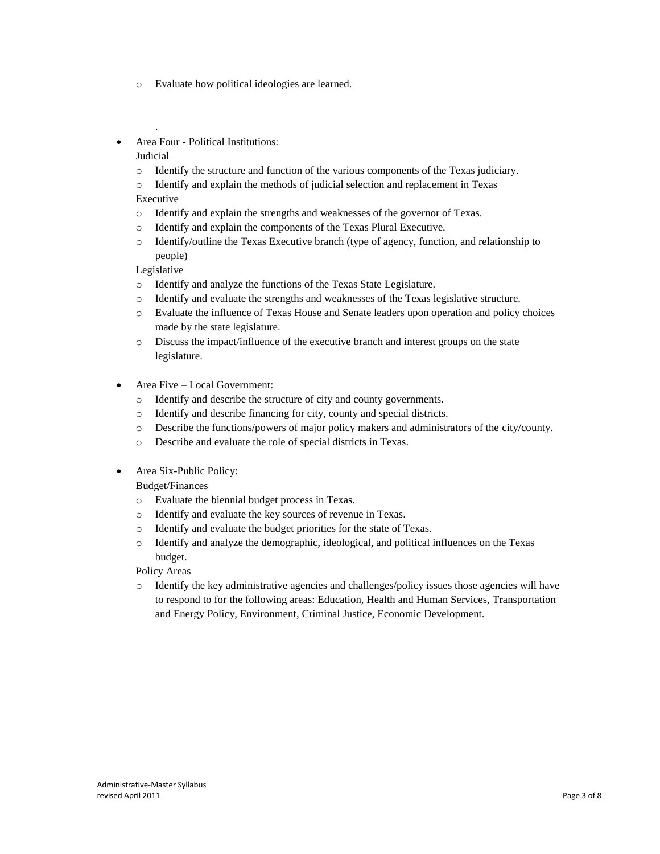- o Evaluate how political ideologies are learned.
- Area Four Political Institutions:

### Judicial

.

- o Identify the structure and function of the various components of the Texas judiciary.
- o Identify and explain the methods of judicial selection and replacement in Texas Executive
- o Identify and explain the strengths and weaknesses of the governor of Texas.
- o Identify and explain the components of the Texas Plural Executive.
- o Identify/outline the Texas Executive branch (type of agency, function, and relationship to people)

Legislative

- o Identify and analyze the functions of the Texas State Legislature.
- o Identify and evaluate the strengths and weaknesses of the Texas legislative structure.
- o Evaluate the influence of Texas House and Senate leaders upon operation and policy choices made by the state legislature.
- o Discuss the impact/influence of the executive branch and interest groups on the state legislature.
- Area Five Local Government:
	- o Identify and describe the structure of city and county governments.
	- o Identify and describe financing for city, county and special districts.
	- o Describe the functions/powers of major policy makers and administrators of the city/county.
	- o Describe and evaluate the role of special districts in Texas.
- Area Six-Public Policy:

Budget/Finances

- o Evaluate the biennial budget process in Texas.
- o Identify and evaluate the key sources of revenue in Texas.
- o Identify and evaluate the budget priorities for the state of Texas.
- o Identify and analyze the demographic, ideological, and political influences on the Texas budget.

Policy Areas

o Identify the key administrative agencies and challenges/policy issues those agencies will have to respond to for the following areas: Education, Health and Human Services, Transportation and Energy Policy, Environment, Criminal Justice, Economic Development.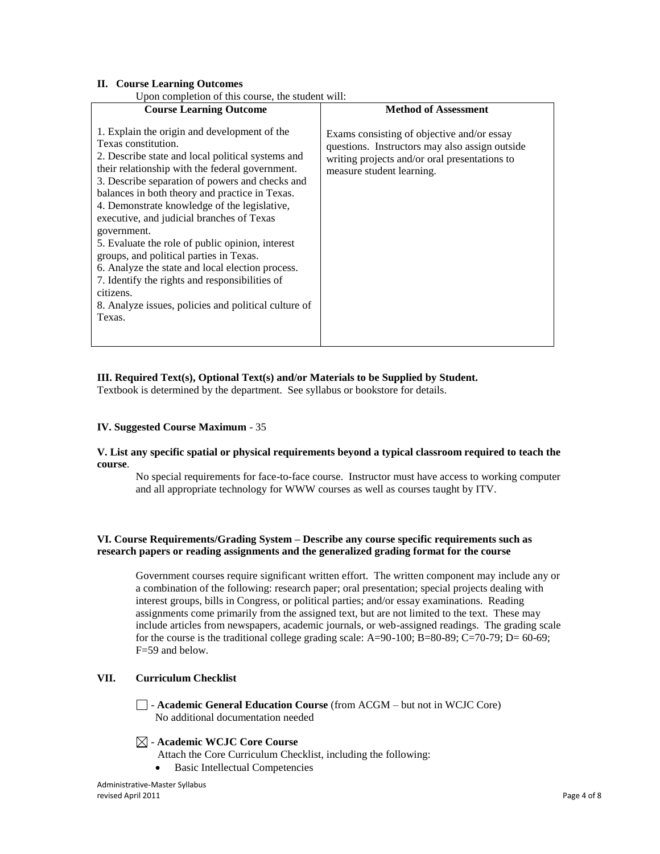#### **II. Course Learning Outcomes**

| Upon completion of this course, the student will: |  |
|---------------------------------------------------|--|

| opon completion of this course, the student will.                                                                                                                                                                                                                                                                                                                                                                                                                                                                                                                                                                                                                                |                                                                                                                                                                            |
|----------------------------------------------------------------------------------------------------------------------------------------------------------------------------------------------------------------------------------------------------------------------------------------------------------------------------------------------------------------------------------------------------------------------------------------------------------------------------------------------------------------------------------------------------------------------------------------------------------------------------------------------------------------------------------|----------------------------------------------------------------------------------------------------------------------------------------------------------------------------|
| <b>Course Learning Outcome</b>                                                                                                                                                                                                                                                                                                                                                                                                                                                                                                                                                                                                                                                   | <b>Method of Assessment</b>                                                                                                                                                |
| 1. Explain the origin and development of the<br>Texas constitution.<br>2. Describe state and local political systems and<br>their relationship with the federal government.<br>3. Describe separation of powers and checks and<br>balances in both theory and practice in Texas.<br>4. Demonstrate knowledge of the legislative,<br>executive, and judicial branches of Texas<br>government.<br>5. Evaluate the role of public opinion, interest<br>groups, and political parties in Texas.<br>6. Analyze the state and local election process.<br>7. Identify the rights and responsibilities of<br>citizens.<br>8. Analyze issues, policies and political culture of<br>Texas. | Exams consisting of objective and/or essay<br>questions. Instructors may also assign outside<br>writing projects and/or oral presentations to<br>measure student learning. |
|                                                                                                                                                                                                                                                                                                                                                                                                                                                                                                                                                                                                                                                                                  |                                                                                                                                                                            |

#### **III. Required Text(s), Optional Text(s) and/or Materials to be Supplied by Student.**

Textbook is determined by the department. See syllabus or bookstore for details.

### **IV. Suggested Course Maximum** - 35

#### **V. List any specific spatial or physical requirements beyond a typical classroom required to teach the course**.

No special requirements for face-to-face course. Instructor must have access to working computer and all appropriate technology for WWW courses as well as courses taught by ITV.

### **VI. Course Requirements/Grading System – Describe any course specific requirements such as research papers or reading assignments and the generalized grading format for the course**

Government courses require significant written effort. The written component may include any or a combination of the following: research paper; oral presentation; special projects dealing with interest groups, bills in Congress, or political parties; and/or essay examinations. Reading assignments come primarily from the assigned text, but are not limited to the text. These may include articles from newspapers, academic journals, or web-assigned readings. The grading scale for the course is the traditional college grading scale:  $A=90-100$ ;  $B=80-89$ ;  $C=70-79$ ;  $D=60-69$ ; F=59 and below.

### **VII. Curriculum Checklist**

- **Academic General Education Course** (from ACGM – but not in WCJC Core) No additional documentation needed

### - **Academic WCJC Core Course**

Attach the Core Curriculum Checklist, including the following:

• Basic Intellectual Competencies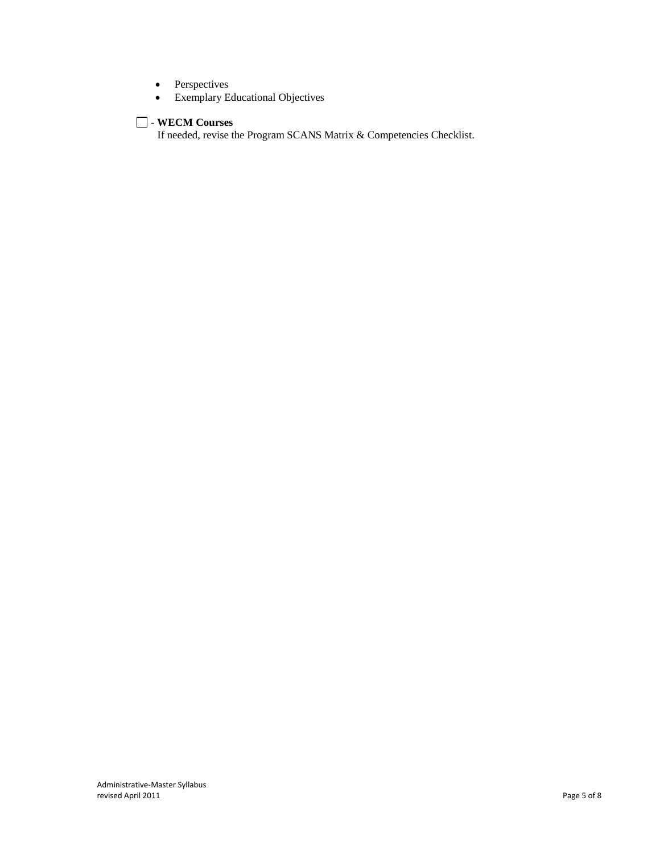- Perspectives
- Exemplary Educational Objectives

## - **WECM Courses**

If needed, revise the Program SCANS Matrix & Competencies Checklist.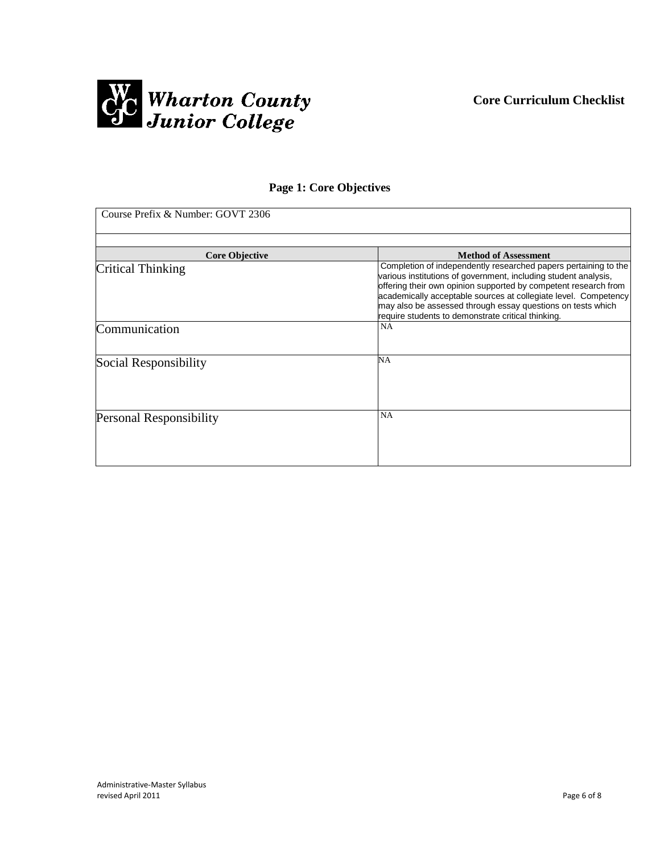

## **Page 1: Core Objectives**

| Course Prefix & Number: GOVT 2306 |                                                                                                                                                                                                                                                                                                                                                                                               |
|-----------------------------------|-----------------------------------------------------------------------------------------------------------------------------------------------------------------------------------------------------------------------------------------------------------------------------------------------------------------------------------------------------------------------------------------------|
|                                   |                                                                                                                                                                                                                                                                                                                                                                                               |
| <b>Core Objective</b>             | <b>Method of Assessment</b>                                                                                                                                                                                                                                                                                                                                                                   |
| <b>Critical Thinking</b>          | Completion of independently researched papers pertaining to the<br>various institutions of government, including student analysis,<br>offering their own opinion supported by competent research from<br>academically acceptable sources at collegiate level. Competency<br>may also be assessed through essay questions on tests which<br>require students to demonstrate critical thinking. |
| Communication                     | NA                                                                                                                                                                                                                                                                                                                                                                                            |
| Social Responsibility             | NA                                                                                                                                                                                                                                                                                                                                                                                            |
| <b>Personal Responsibility</b>    | NA                                                                                                                                                                                                                                                                                                                                                                                            |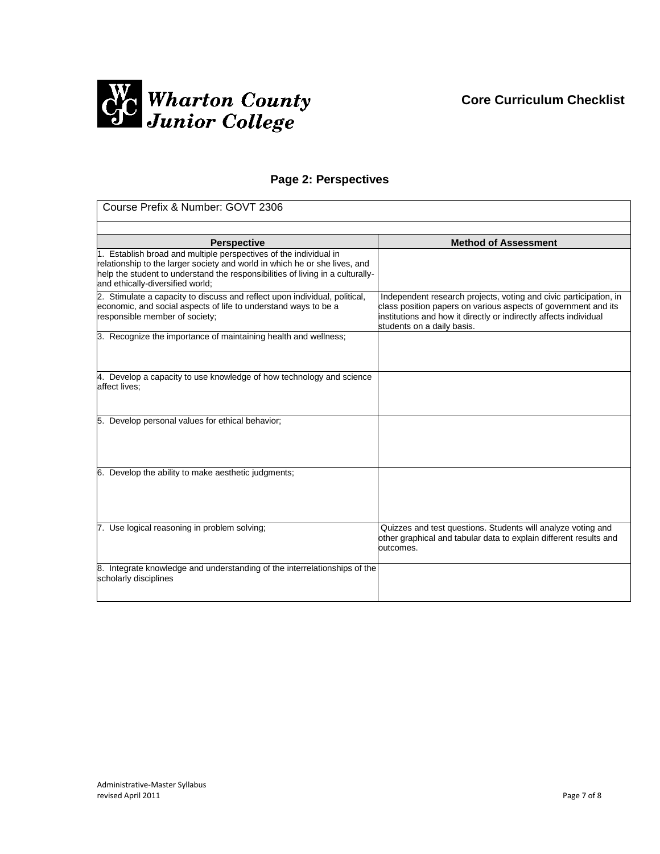

# **Page 2: Perspectives**

| Course Prefix & Number: GOVT 2306                                                                                                                                                                                                                                     |                                                                                                                                                                   |  |  |
|-----------------------------------------------------------------------------------------------------------------------------------------------------------------------------------------------------------------------------------------------------------------------|-------------------------------------------------------------------------------------------------------------------------------------------------------------------|--|--|
|                                                                                                                                                                                                                                                                       |                                                                                                                                                                   |  |  |
| <b>Perspective</b>                                                                                                                                                                                                                                                    | <b>Method of Assessment</b>                                                                                                                                       |  |  |
| 1. Establish broad and multiple perspectives of the individual in<br>relationship to the larger society and world in which he or she lives, and<br>help the student to understand the responsibilities of living in a culturally-<br>and ethically-diversified world; |                                                                                                                                                                   |  |  |
| 2. Stimulate a capacity to discuss and reflect upon individual, political,                                                                                                                                                                                            | Independent research projects, voting and civic participation, in                                                                                                 |  |  |
| economic, and social aspects of life to understand ways to be a<br>responsible member of society;                                                                                                                                                                     | class position papers on various aspects of government and its<br>institutions and how it directly or indirectly affects individual<br>students on a daily basis. |  |  |
| 3. Recognize the importance of maintaining health and wellness;                                                                                                                                                                                                       |                                                                                                                                                                   |  |  |
| 4. Develop a capacity to use knowledge of how technology and science<br>affect lives:                                                                                                                                                                                 |                                                                                                                                                                   |  |  |
| 5. Develop personal values for ethical behavior;                                                                                                                                                                                                                      |                                                                                                                                                                   |  |  |
| 6. Develop the ability to make aesthetic judgments;                                                                                                                                                                                                                   |                                                                                                                                                                   |  |  |
| 7. Use logical reasoning in problem solving;                                                                                                                                                                                                                          | Quizzes and test questions. Students will analyze voting and<br>other graphical and tabular data to explain different results and<br>outcomes.                    |  |  |
| 8. Integrate knowledge and understanding of the interrelationships of the<br>scholarly disciplines                                                                                                                                                                    |                                                                                                                                                                   |  |  |